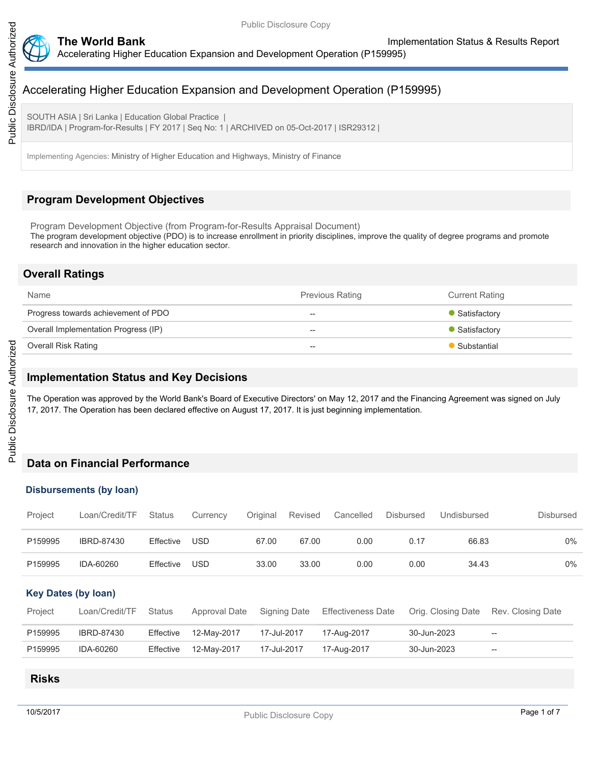

SOUTH ASIA | Sri Lanka | Education Global Practice | IBRD/IDA | Program-for-Results | FY 2017 | Seq No: 1 | ARCHIVED on 05-Oct-2017 | ISR29312 |

Implementing Agencies: Ministry of Higher Education and Highways, Ministry of Finance

# **Program Development Objectives**

Program Development Objective (from Program-for-Results Appraisal Document) The program development objective (PDO) is to increase enrollment in priority disciplines, improve the quality of degree programs and promote research and innovation in the higher education sector.

## **Overall Ratings**

| <b>Name</b>                          | <b>Previous Rating</b>   | <b>Current Rating</b> |
|--------------------------------------|--------------------------|-----------------------|
| Progress towards achievement of PDO  | $- -$                    | • Satisfactory        |
| Overall Implementation Progress (IP) | $\overline{\phantom{m}}$ | • Satisfactory        |
| Overall Risk Rating                  | $- -$                    | Substantial           |

# **Implementation Status and Key Decisions**

The Operation was approved by the World Bank's Board of Executive Directors' on May 12, 2017 and the Financing Agreement was signed on July 17, 2017. The Operation has been declared effective on August 17, 2017. It is just beginning implementation.

# **Data on Financial Performance**

### **Disbursements (by loan)**

| Project                    | Loan/Credit/TF    | Status        | Currency      | Original    | <b>Revised</b> | Cancelled                 | <b>Disbursed</b> | Undisbursed        | <b>Disbursed</b>  |
|----------------------------|-------------------|---------------|---------------|-------------|----------------|---------------------------|------------------|--------------------|-------------------|
| P159995                    | IBRD-87430        | Effective     | <b>USD</b>    | 67.00       | 67.00          | 0.00                      | 0.17             | 66.83              | $0\%$             |
| P159995                    | IDA-60260         | Effective     | <b>USD</b>    | 33.00       | 33.00          | 0.00                      | 0.00             | 34.43              | 0%                |
| <b>Key Dates (by loan)</b> |                   |               |               |             |                |                           |                  |                    |                   |
| Project                    | Loan/Credit/TF    | <b>Status</b> | Approval Date |             | Signing Date   | <b>Effectiveness Date</b> |                  | Orig. Closing Date | Rev. Closing Date |
| P159995                    | <b>IBRD-87430</b> | Effective     | 12-May-2017   | 17-Jul-2017 |                | 17-Aug-2017               |                  | 30-Jun-2023        | $--$              |
| P159995                    | IDA-60260         | Effective     | 12-May-2017   | 17-Jul-2017 |                | 17-Aug-2017               |                  | 30-Jun-2023        | $- -$             |
|                            |                   |               |               |             |                |                           |                  |                    |                   |

## **Risks**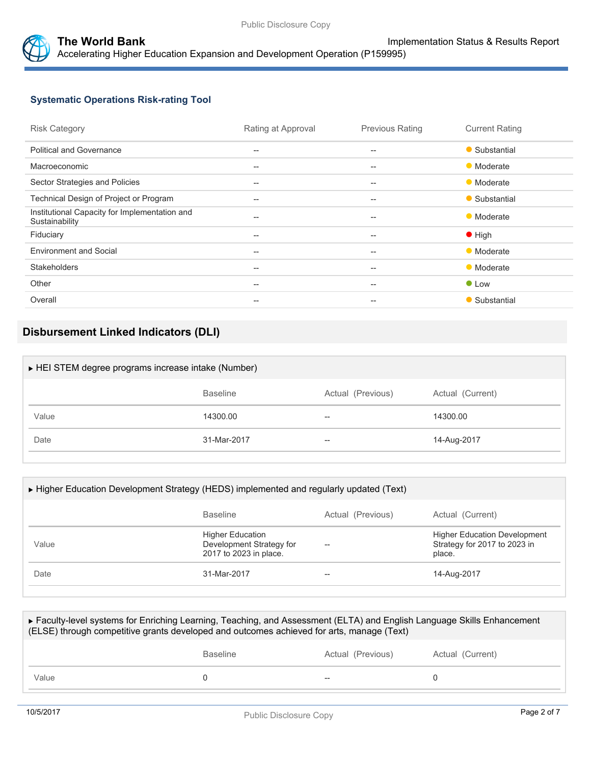



# **Systematic Operations Risk-rating Tool**

| <b>Risk Category</b>                                            | Rating at Approval                                  | <b>Previous Rating</b>                              | <b>Current Rating</b> |
|-----------------------------------------------------------------|-----------------------------------------------------|-----------------------------------------------------|-----------------------|
| <b>Political and Governance</b>                                 | $-$                                                 | $-$                                                 | • Substantial         |
| Macroeconomic                                                   | $\hspace{0.05cm} -\hspace{0.05cm} -\hspace{0.05cm}$ | $-$                                                 | • Moderate            |
| Sector Strategies and Policies                                  | $-$                                                 | $\hspace{0.05cm} -$                                 | • Moderate            |
| Technical Design of Project or Program                          | $-$                                                 | $-$                                                 | • Substantial         |
| Institutional Capacity for Implementation and<br>Sustainability | $\hspace{0.05cm} -\hspace{0.05cm} -\hspace{0.05cm}$ | $\hspace{0.05cm} -$                                 | • Moderate            |
| Fiduciary                                                       | $\hspace{0.05cm} -\hspace{0.05cm} -\hspace{0.05cm}$ | $\hspace{0.05cm} -\hspace{0.05cm} -\hspace{0.05cm}$ | $\bullet$ High        |
| <b>Environment and Social</b>                                   | $\qquad \qquad -$                                   | $-$                                                 | • Moderate            |
| <b>Stakeholders</b>                                             | $\hspace{0.05cm} -\hspace{0.05cm} -\hspace{0.05cm}$ | $\hspace{0.05cm} -$                                 | • Moderate            |
| Other                                                           | $-$                                                 | $-$                                                 | $\bullet$ Low         |
| Overall                                                         | $-$                                                 | $-$                                                 | • Substantial         |
|                                                                 |                                                     |                                                     |                       |

# **Disbursement Linked Indicators (DLI)**

| HEI STEM degree programs increase intake (Number) |                   |                  |  |  |  |  |
|---------------------------------------------------|-------------------|------------------|--|--|--|--|
| <b>Baseline</b>                                   | Actual (Previous) | Actual (Current) |  |  |  |  |
| 14300.00                                          | --                | 14300.00         |  |  |  |  |
| 31-Mar-2017                                       | $- -$             | 14-Aug-2017      |  |  |  |  |
|                                                   |                   |                  |  |  |  |  |

| ► Higher Education Development Strategy (HEDS) implemented and regularly updated (Text) |                                                                               |                   |                                                                               |  |  |
|-----------------------------------------------------------------------------------------|-------------------------------------------------------------------------------|-------------------|-------------------------------------------------------------------------------|--|--|
|                                                                                         | <b>Baseline</b>                                                               | Actual (Previous) | Actual (Current)                                                              |  |  |
| Value                                                                                   | <b>Higher Education</b><br>Development Strategy for<br>2017 to 2023 in place. |                   | <b>Higher Education Development</b><br>Strategy for 2017 to 2023 in<br>place. |  |  |
| Date                                                                                    | 31-Mar-2017                                                                   | --                | 14-Aug-2017                                                                   |  |  |

| ► Faculty-level systems for Enriching Learning, Teaching, and Assessment (ELTA) and English Language Skills Enhancement<br>(ELSE) through competitive grants developed and outcomes achieved for arts, manage (Text) |                 |                   |                  |  |  |  |
|----------------------------------------------------------------------------------------------------------------------------------------------------------------------------------------------------------------------|-----------------|-------------------|------------------|--|--|--|
|                                                                                                                                                                                                                      | <b>Baseline</b> | Actual (Previous) | Actual (Current) |  |  |  |
| Value                                                                                                                                                                                                                |                 |                   |                  |  |  |  |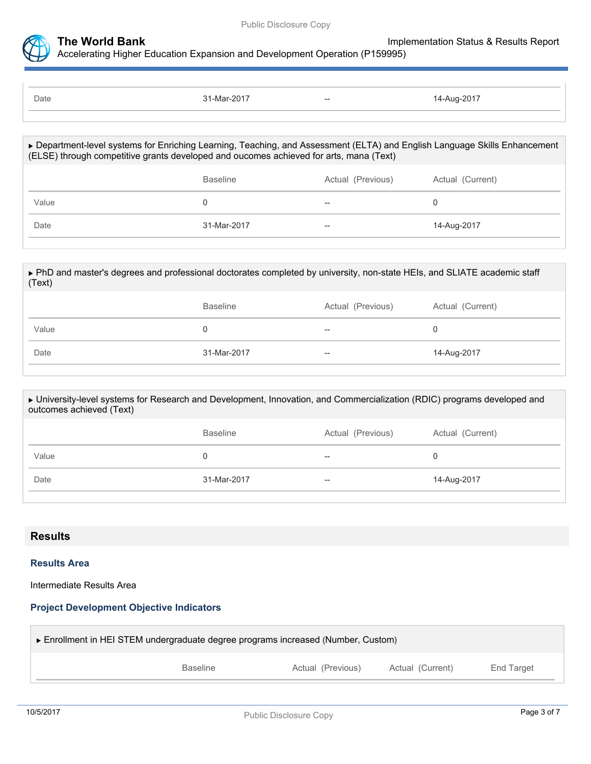

| Date | 31-Mar-2017 | $--$ | 14-Aug-2017 |
|------|-------------|------|-------------|
|      |             |      |             |

| ▶ Department-level systems for Enriching Learning, Teaching, and Assessment (ELTA) and English Language Skills Enhancement<br>(ELSE) through competitive grants developed and oucomes achieved for arts, mana (Text) |                 |                   |                  |  |  |
|----------------------------------------------------------------------------------------------------------------------------------------------------------------------------------------------------------------------|-----------------|-------------------|------------------|--|--|
|                                                                                                                                                                                                                      | <b>Baseline</b> | Actual (Previous) | Actual (Current) |  |  |
| Value                                                                                                                                                                                                                |                 |                   |                  |  |  |
| Date                                                                                                                                                                                                                 | 31-Mar-2017     |                   | 14-Aug-2017      |  |  |
|                                                                                                                                                                                                                      |                 |                   |                  |  |  |

| ► PhD and master's degrees and professional doctorates completed by university, non-state HEIs, and SLIATE academic staff<br>(Text) |                 |                   |                  |  |  |  |
|-------------------------------------------------------------------------------------------------------------------------------------|-----------------|-------------------|------------------|--|--|--|
|                                                                                                                                     | <b>Baseline</b> | Actual (Previous) | Actual (Current) |  |  |  |
| Value                                                                                                                               |                 | --                | 0                |  |  |  |
| Date                                                                                                                                | 31-Mar-2017     | $- -$             | 14-Aug-2017      |  |  |  |
|                                                                                                                                     |                 |                   |                  |  |  |  |

| ► University-level systems for Research and Development, Innovation, and Commercialization (RDIC) programs developed and<br>outcomes achieved (Text) |                 |                   |                  |  |  |  |
|------------------------------------------------------------------------------------------------------------------------------------------------------|-----------------|-------------------|------------------|--|--|--|
|                                                                                                                                                      | <b>Baseline</b> | Actual (Previous) | Actual (Current) |  |  |  |
| Value                                                                                                                                                |                 | --                |                  |  |  |  |
| Date                                                                                                                                                 | 31-Mar-2017     | --                | 14-Aug-2017      |  |  |  |

## **Results**

### **Results Area**

Intermediate Results Area

# **Project Development Objective Indicators**

| ► Enrollment in HEI STEM undergraduate degree programs increased (Number, Custom) |                   |                  |            |  |  |  |  |
|-----------------------------------------------------------------------------------|-------------------|------------------|------------|--|--|--|--|
| <b>Baseline</b>                                                                   | Actual (Previous) | Actual (Current) | End Target |  |  |  |  |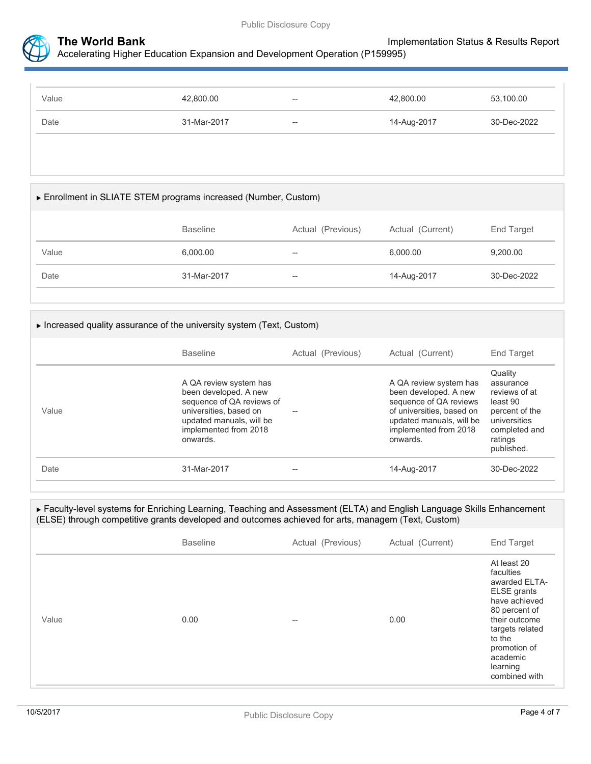



| Value | 42,800.00   | $\hspace{0.05cm} -\hspace{0.05cm}$                  | 42,800.00   | 53,100.00   |
|-------|-------------|-----------------------------------------------------|-------------|-------------|
| Date  | 31-Mar-2017 | $\hspace{0.05cm} -\hspace{0.05cm} -\hspace{0.05cm}$ | 14-Aug-2017 | 30-Dec-2022 |

### Enrollment in SLIATE STEM programs increased **(**Number**,** Custom**)**

|       | <b>Baseline</b> | Actual (Previous)   | Actual (Current) | End Target  |
|-------|-----------------|---------------------|------------------|-------------|
| Value | 6,000.00        | $\hspace{0.05cm} -$ | 6,000.00         | 9,200.00    |
| Date  | 31-Mar-2017     | $-\!$               | 14-Aug-2017      | 30-Dec-2022 |

### Increased quality assurance of the university system **(**Text**,** Custom**)**

|       | <b>Baseline</b>                                                                                                                                                         | Actual (Previous) | Actual (Current)                                                                                                                                                        | End Target                                                                                                                    |
|-------|-------------------------------------------------------------------------------------------------------------------------------------------------------------------------|-------------------|-------------------------------------------------------------------------------------------------------------------------------------------------------------------------|-------------------------------------------------------------------------------------------------------------------------------|
| Value | A QA review system has<br>been developed. A new<br>sequence of QA reviews of<br>universities, based on<br>updated manuals, will be<br>implemented from 2018<br>onwards. |                   | A QA review system has<br>been developed. A new<br>sequence of QA reviews<br>of universities, based on<br>updated manuals, will be<br>implemented from 2018<br>onwards. | Quality<br>assurance<br>reviews of at<br>least 90<br>percent of the<br>universities<br>completed and<br>ratings<br>published. |
| Date  | 31-Mar-2017                                                                                                                                                             | --                | 14-Aug-2017                                                                                                                                                             | 30-Dec-2022                                                                                                                   |
|       |                                                                                                                                                                         |                   |                                                                                                                                                                         |                                                                                                                               |

### Faculty-level systems for Enriching Learning, Teaching and Assessment (ELTA) and English Language Skills Enhancement (ELSE) through competitive grants developed and outcomes achieved for arts, managem **(**Text**,** Custom**)**

|       | <b>Baseline</b> | Actual (Previous) | Actual (Current) | End Target                                                                                                                                                                                        |
|-------|-----------------|-------------------|------------------|---------------------------------------------------------------------------------------------------------------------------------------------------------------------------------------------------|
| Value | 0.00            | $- -$             | 0.00             | At least 20<br>faculties<br>awarded ELTA-<br>ELSE grants<br>have achieved<br>80 percent of<br>their outcome<br>targets related<br>to the<br>promotion of<br>academic<br>learning<br>combined with |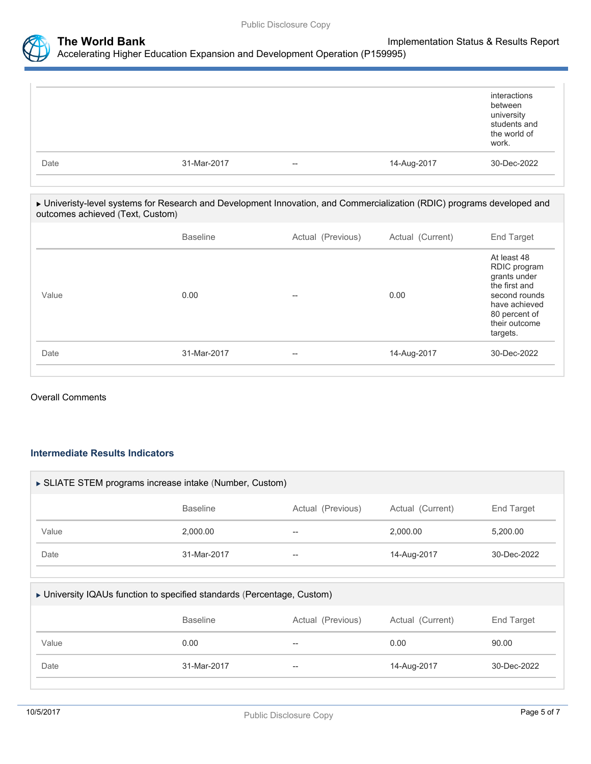

|      |             |                          |             | interactions<br>between<br>university<br>students and<br>the world of<br>work. |
|------|-------------|--------------------------|-------------|--------------------------------------------------------------------------------|
| Date | 31-Mar-2017 | $\overline{\phantom{a}}$ | 14-Aug-2017 | 30-Dec-2022                                                                    |

### Univeristy-level systems for Research and Development Innovation, and Commercialization (RDIC) programs developed and outcomes achieved **(**Text**,** Custom**)**

|       | <b>Baseline</b> | Actual (Previous) | Actual (Current) | End Target                                                                                                                                   |
|-------|-----------------|-------------------|------------------|----------------------------------------------------------------------------------------------------------------------------------------------|
| Value | 0.00            | $- -$             | 0.00             | At least 48<br>RDIC program<br>grants under<br>the first and<br>second rounds<br>have achieved<br>80 percent of<br>their outcome<br>targets. |
| Date  | 31-Mar-2017     | $- -$             | 14-Aug-2017      | 30-Dec-2022                                                                                                                                  |
|       |                 |                   |                  |                                                                                                                                              |

### Overall Comments

## **Intermediate Results Indicators**

| SLIATE STEM programs increase intake (Number, Custom) |                 |                   |                  |             |  |
|-------------------------------------------------------|-----------------|-------------------|------------------|-------------|--|
|                                                       | <b>Baseline</b> | Actual (Previous) | Actual (Current) | End Target  |  |
| Value                                                 | 2.000.00        | --                | 2.000.00         | 5,200.00    |  |
| Date                                                  | 31-Mar-2017     | $- -$             | 14-Aug-2017      | 30-Dec-2022 |  |

## University IQAUs function to specified standards (Percentage, Custom)

|       | <b>Baseline</b> | Actual (Previous) | Actual (Current) | End Target  |
|-------|-----------------|-------------------|------------------|-------------|
| Value | 0.00            | $- -$             | 0.00             | 90.00       |
| Date  | 31-Mar-2017     | $-\!$             | 14-Aug-2017      | 30-Dec-2022 |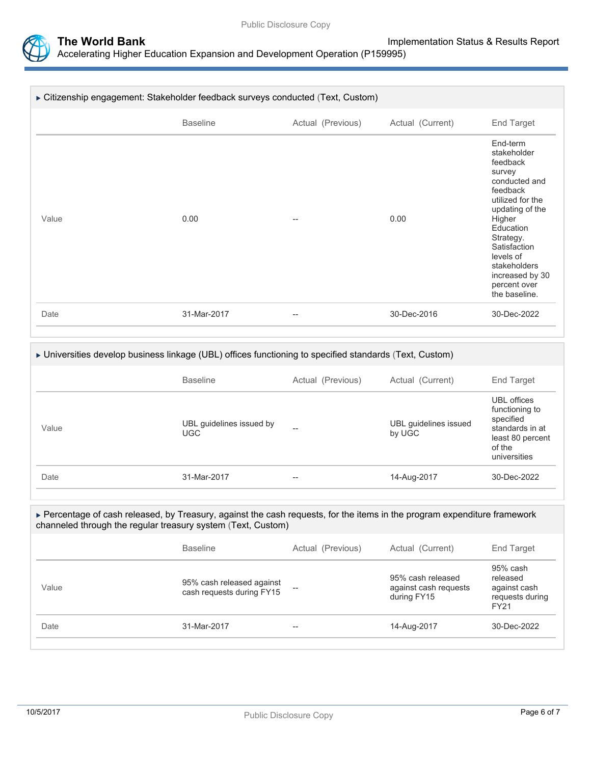

| ► Citizenship engagement: Stakeholder feedback surveys conducted (Text, Custom) |                 |                   |                  |                                                                                                                                                                                                                                                        |  |
|---------------------------------------------------------------------------------|-----------------|-------------------|------------------|--------------------------------------------------------------------------------------------------------------------------------------------------------------------------------------------------------------------------------------------------------|--|
|                                                                                 | <b>Baseline</b> | Actual (Previous) | Actual (Current) | <b>End Target</b>                                                                                                                                                                                                                                      |  |
| Value                                                                           | 0.00            | --                | 0.00             | End-term<br>stakeholder<br>feedback<br>survey<br>conducted and<br>feedback<br>utilized for the<br>updating of the<br>Higher<br>Education<br>Strategy.<br>Satisfaction<br>levels of<br>stakeholders<br>increased by 30<br>percent over<br>the baseline. |  |
| Date                                                                            | 31-Mar-2017     | --                | 30-Dec-2016      | 30-Dec-2022                                                                                                                                                                                                                                            |  |

### Universities develop business linkage (UBL) offices functioning to specified standards (Text, Custom)

|       | <b>Baseline</b>                        | Actual (Previous) | Actual (Current)                | End Target                                                                                                  |
|-------|----------------------------------------|-------------------|---------------------------------|-------------------------------------------------------------------------------------------------------------|
| Value | UBL guidelines issued by<br><b>UGC</b> | $- -$             | UBL guidelines issued<br>by UGC | UBL offices<br>functioning to<br>specified<br>standards in at<br>least 80 percent<br>of the<br>universities |
| Date  | 31-Mar-2017                            | $- -$             | 14-Aug-2017                     | 30-Dec-2022                                                                                                 |

### Percentage of cash released, by Treasury, against the cash requests, for the items in the program expenditure framework channeled through the regular treasury system (Text, Custom)

|       | <b>Baseline</b>                                        | Actual (Previous) | Actual (Current)                                          | End Target                                                             |
|-------|--------------------------------------------------------|-------------------|-----------------------------------------------------------|------------------------------------------------------------------------|
| Value | 95% cash released against<br>cash requests during FY15 |                   | 95% cash released<br>against cash requests<br>during FY15 | 95% cash<br>released<br>against cash<br>requests during<br><b>FY21</b> |
| Date  | 31-Mar-2017                                            | $- -$             | 14-Aug-2017                                               | 30-Dec-2022                                                            |